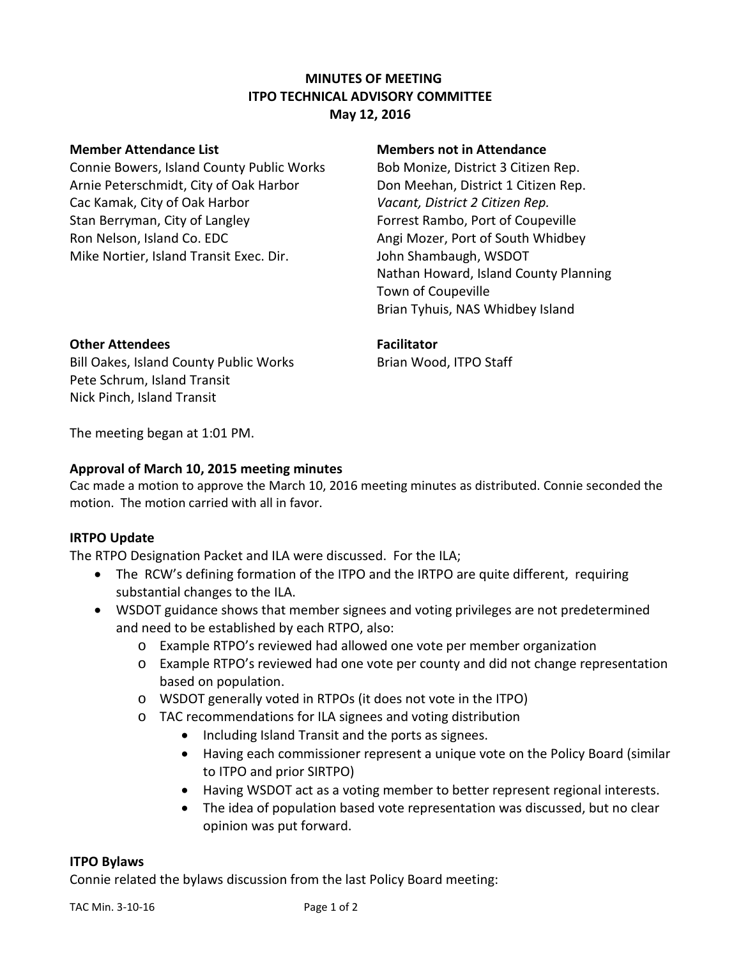# **MINUTES OF MEETING ITPO TECHNICAL ADVISORY COMMITTEE May 12, 2016**

Connie Bowers, Island County Public Works Bob Monize, District 3 Citizen Rep. Arnie Peterschmidt, City of Oak Harbor Don Meehan, District 1 Citizen Rep. Cac Kamak, City of Oak Harbor *Vacant, District 2 Citizen Rep.* Stan Berryman, City of Langley **Following Langley** Forrest Rambo, Port of Coupeville Ron Nelson, Island Co. EDC Angi Mozer, Port of South Whidbey Mike Nortier, Island Transit Exec. Dir. John Shambaugh, WSDOT

#### **Member Attendance List Members not in Attendance**

Nathan Howard, Island County Planning Town of Coupeville Brian Tyhuis, NAS Whidbey Island

#### **Other Attendees Facilitator**

Bill Oakes, Island County Public Works Brian Wood, ITPO Staff Pete Schrum, Island Transit Nick Pinch, Island Transit

The meeting began at 1:01 PM.

## **Approval of March 10, 2015 meeting minutes**

Cac made a motion to approve the March 10, 2016 meeting minutes as distributed. Connie seconded the motion. The motion carried with all in favor.

## **IRTPO Update**

The RTPO Designation Packet and ILA were discussed. For the ILA;

- The RCW's defining formation of the ITPO and the IRTPO are quite different, requiring substantial changes to the ILA.
- WSDOT guidance shows that member signees and voting privileges are not predetermined and need to be established by each RTPO, also:
	- o Example RTPO's reviewed had allowed one vote per member organization
	- o Example RTPO's reviewed had one vote per county and did not change representation based on population.
	- o WSDOT generally voted in RTPOs (it does not vote in the ITPO)
	- o TAC recommendations for ILA signees and voting distribution
		- Including Island Transit and the ports as signees.
		- Having each commissioner represent a unique vote on the Policy Board (similar to ITPO and prior SIRTPO)
		- Having WSDOT act as a voting member to better represent regional interests.
		- The idea of population based vote representation was discussed, but no clear opinion was put forward.

## **ITPO Bylaws**

Connie related the bylaws discussion from the last Policy Board meeting: